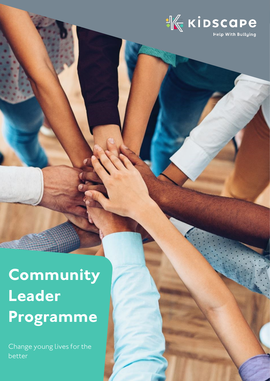

**Community Leader Programme**

*Change young lives for the better*